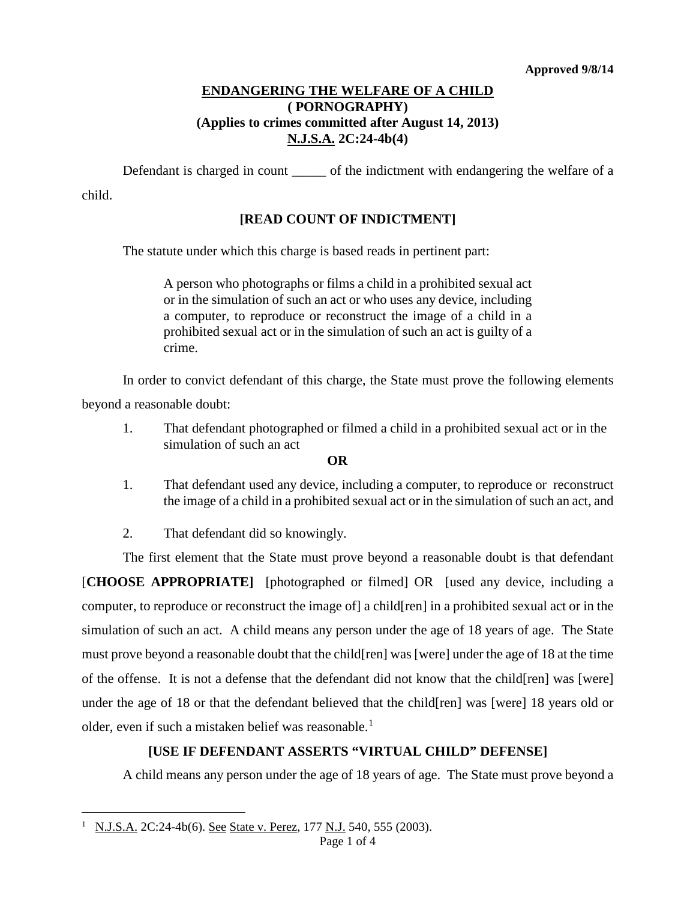#### **ENDANGERING THE WELFARE OF A CHILD ( PORNOGRAPHY) (Applies to crimes committed after August 14, 2013) N.J.S.A. 2C:24-4b(4)**

Defendant is charged in count of the indictment with endangering the welfare of a

child.

## **[READ COUNT OF INDICTMENT]**

The statute under which this charge is based reads in pertinent part:

A person who photographs or films a child in a prohibited sexual act or in the simulation of such an act or who uses any device, including a computer, to reproduce or reconstruct the image of a child in a prohibited sexual act or in the simulation of such an act is guilty of a crime.

In order to convict defendant of this charge, the State must prove the following elements beyond a reasonable doubt:

1. That defendant photographed or filmed a child in a prohibited sexual act or in the simulation of such an act

#### **OR**

1. That defendant used any device, including a computer, to reproduce or reconstruct the image of a child in a prohibited sexual act or in the simulation of such an act, and

2. That defendant did so knowingly.

The first element that the State must prove beyond a reasonable doubt is that defendant [**CHOOSE APPROPRIATE]** [photographed or filmed] OR [used any device, including a computer, to reproduce or reconstruct the image of] a child[ren] in a prohibited sexual act or in the simulation of such an act. A child means any person under the age of 18 years of age. The State must prove beyond a reasonable doubt that the child[ren] was [were] under the age of 18 at the time of the offense. It is not a defense that the defendant did not know that the child[ren] was [were] under the age of 18 or that the defendant believed that the child[ren] was [were] 18 years old or older, even if such a mistaken belief was reasonable.<sup>[1](#page-0-0)</sup>

### **[USE IF DEFENDANT ASSERTS "VIRTUAL CHILD" DEFENSE]**

A child means any person under the age of 18 years of age. The State must prove beyond a

<span id="page-0-0"></span><sup>1</sup> N.J.S.A. 2C:24-4b(6). See State v. Perez, 177 N.J. 540, 555 (2003). Ĩ.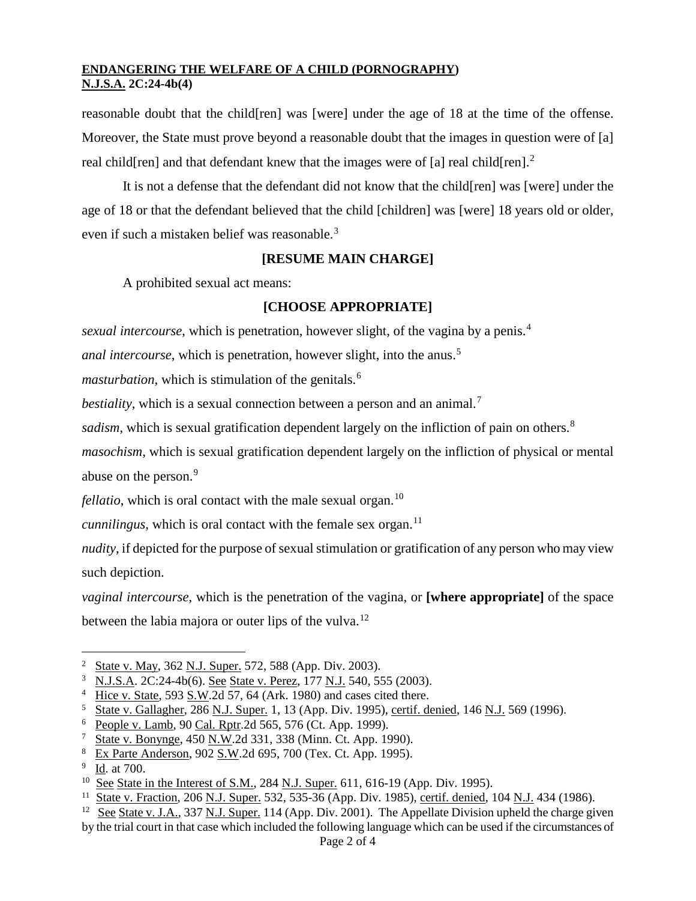### **ENDANGERING THE WELFARE OF A CHILD (PORNOGRAPHY) N.J.S.A. 2C:24-4b(4)**

reasonable doubt that the child[ren] was [were] under the age of 18 at the time of the offense. Moreover, the State must prove beyond a reasonable doubt that the images in question were of [a] real child [ren] and that defendant knew that the images were of [a] real child [ren].<sup>[2](#page-1-0)</sup>

It is not a defense that the defendant did not know that the child[ren] was [were] under the age of 18 or that the defendant believed that the child [children] was [were] 18 years old or older, even if such a mistaken belief was reasonable.<sup>[3](#page-1-1)</sup>

## **[RESUME MAIN CHARGE]**

A prohibited sexual act means:

# **[CHOOSE APPROPRIATE]**

*sexual intercourse*, which is penetration, however slight, of the vagina by a penis.<sup>[4](#page-1-2)</sup>

*anal intercourse*, which is penetration, however slight, into the anus.<sup>[5](#page-1-3)</sup>

*masturbation*, which is stimulation of the genitals.<sup>[6](#page-1-4)</sup>

*bestiality*, which is a sexual connection between a person and an animal.<sup>[7](#page-1-5)</sup>

*sadism*, which is sexual gratification dependent largely on the infliction of pain on others.<sup>[8](#page-1-6)</sup>

*masochism*, which is sexual gratification dependent largely on the infliction of physical or mental abuse on the person.<sup>[9](#page-1-7)</sup>

*fellatio*, which is oral contact with the male sexual organ.<sup>[10](#page-1-8)</sup>

*cunnilingus*, which is oral contact with the female sex organ.<sup>[11](#page-1-9)</sup>

*nudity*, if depicted for the purpose of sexual stimulation or gratification of any person who may view such depiction.

*vaginal intercourse*, which is the penetration of the vagina, or **[where appropriate]** of the space between the labia majora or outer lips of the vulva.<sup>[12](#page-1-10)</sup>

<sup>&</sup>lt;sup>2</sup> State v. May, 362 N.J. Super. 572, 588 (App. Div. 2003). Ĩ.

<span id="page-1-1"></span><span id="page-1-0"></span><sup>3</sup> N.J.S.A. 2C:24-4b(6). See State v. Perez, 177 N.J. 540, 555 (2003).

<span id="page-1-2"></span><sup>&</sup>lt;sup>4</sup> Hice v. State, 593  $\underline{S.W.}$  2d 57, 64 (Ark. 1980) and cases cited there.

<sup>&</sup>lt;sup>5</sup> State v. Gallagher, 286 N.J. Super. 1, 13 (App. Div. 1995), certif. denied, 146 N.J. 569 (1996).

<span id="page-1-4"></span><span id="page-1-3"></span><sup>6</sup> People v. Lamb, 90 Cal. Rptr.2d 565, 576 (Ct. App. 1999).

<span id="page-1-5"></span><sup>7</sup> State v. Bonynge, 450 N.W.2d 331, 338 (Minn. Ct. App. 1990).

<span id="page-1-6"></span><sup>8</sup> Ex Parte Anderson, 902 S.W.2d 695, 700 (Tex. Ct. App. 1995).

<span id="page-1-7"></span><sup>9</sup> Id. at 700.

<span id="page-1-8"></span><sup>&</sup>lt;sup>10</sup> See State in the Interest of S.M., 284 N.J. Super. 611, 616-19 (App. Div. 1995).

<span id="page-1-9"></span><sup>11</sup> State v. Fraction, 206 N.J. Super. 532, 535-36 (App. Div. 1985), certif. denied, 104 N.J. 434 (1986).

<span id="page-1-10"></span><sup>&</sup>lt;sup>12</sup> See State v. J.A., 337 N.J. Super. 114 (App. Div. 2001). The Appellate Division upheld the charge given by the trial court in that case which included the following language which can be used if the circumstances of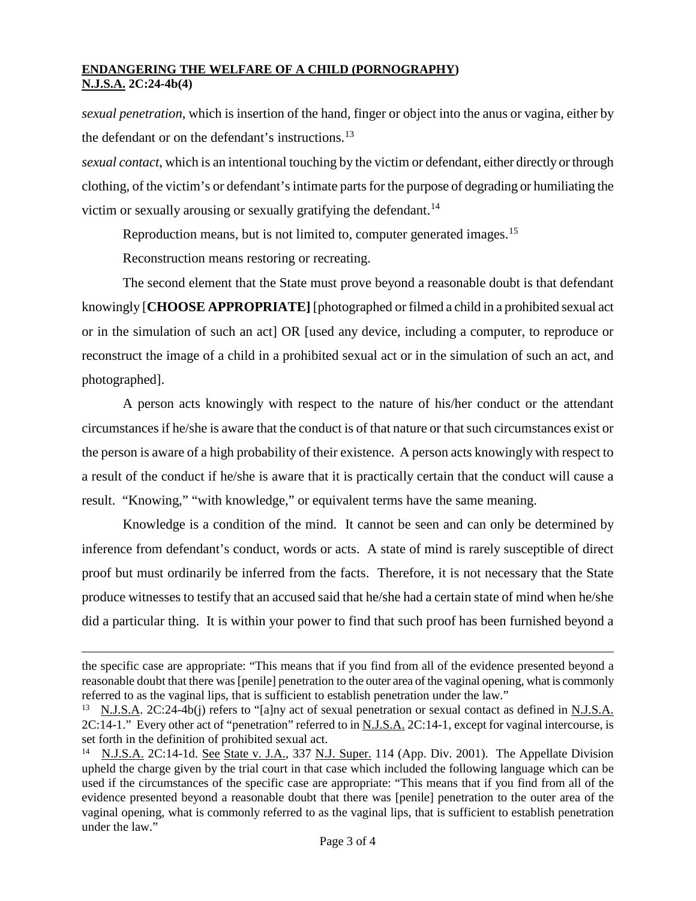#### **ENDANGERING THE WELFARE OF A CHILD (PORNOGRAPHY) N.J.S.A. 2C:24-4b(4)**

*sexual penetration*, which is insertion of the hand, finger or object into the anus or vagina, either by the defendant or on the defendant's instructions.<sup>[13](#page-2-0)</sup>

*sexual contact*, which is an intentional touching by the victim or defendant, either directly or through clothing, of the victim's or defendant's intimate parts for the purpose of degrading or humiliating the victim or sexually arousing or sexually gratifying the defendant.<sup>[14](#page-2-1)</sup>

Reproduction means, but is not limited to, computer generated images.<sup>[15](#page-2-2)</sup>

Reconstruction means restoring or recreating.

The second element that the State must prove beyond a reasonable doubt is that defendant knowingly [**CHOOSE APPROPRIATE]** [photographed or filmed a child in a prohibited sexual act or in the simulation of such an act] OR [used any device, including a computer, to reproduce or reconstruct the image of a child in a prohibited sexual act or in the simulation of such an act, and photographed].

A person acts knowingly with respect to the nature of his/her conduct or the attendant circumstances if he/she is aware that the conduct is of that nature or that such circumstances exist or the person is aware of a high probability of their existence. A person acts knowingly with respect to a result of the conduct if he/she is aware that it is practically certain that the conduct will cause a result. "Knowing," "with knowledge," or equivalent terms have the same meaning.

Knowledge is a condition of the mind. It cannot be seen and can only be determined by inference from defendant's conduct, words or acts. A state of mind is rarely susceptible of direct proof but must ordinarily be inferred from the facts. Therefore, it is not necessary that the State produce witnesses to testify that an accused said that he/she had a certain state of mind when he/she did a particular thing. It is within your power to find that such proof has been furnished beyond a

the specific case are appropriate: "This means that if you find from all of the evidence presented beyond a reasonable doubt that there was [penile] penetration to the outer area of the vaginal opening, what is commonly referred to as the vaginal lips, that is sufficient to establish penetration under the law." Ĩ.

<span id="page-2-0"></span><sup>&</sup>lt;sup>13</sup> N.J.S.A. 2C:24-4b(j) refers to "[a]ny act of sexual penetration or sexual contact as defined in N.J.S.A. 2C:14-1." Every other act of "penetration" referred to in N.J.S.A. 2C:14-1, except for vaginal intercourse, is set forth in the definition of prohibited sexual act.

<span id="page-2-2"></span><span id="page-2-1"></span><sup>&</sup>lt;sup>14</sup> N.J.S.A. 2C:14-1d. See State v. J.A., 337 N.J. Super. 114 (App. Div. 2001). The Appellate Division upheld the charge given by the trial court in that case which included the following language which can be used if the circumstances of the specific case are appropriate: "This means that if you find from all of the evidence presented beyond a reasonable doubt that there was [penile] penetration to the outer area of the vaginal opening, what is commonly referred to as the vaginal lips, that is sufficient to establish penetration under the law."